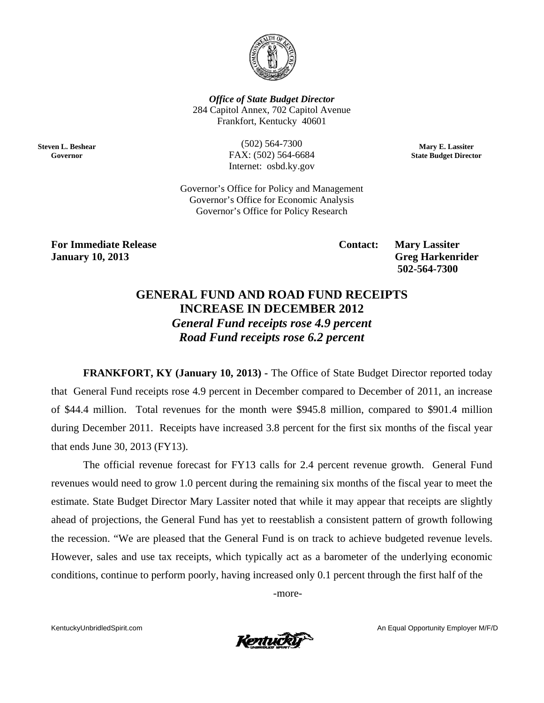

**Office of State Budget Director** 284 Capitol Annex, 702 Capitol Avenue Frankfort, Kentucky 40601

**Steven L. Beshear** Governor

 $(502) 564 - 7300$ FAX: (502) 564-6684 Internet: osbd.ky.gov

Mary E. Lassiter **State Budget Director** 

Governor's Office for Policy and Management Governor's Office for Economic Analysis Governor's Office for Policy Research

**For Immediate Release January 10, 2013** 

**Contact:** 

**Mary Lassiter Greg Harkenrider** 502-564-7300

## **GENERAL FUND AND ROAD FUND RECEIPTS INCREASE IN DECEMBER 2012 General Fund receipts rose 4.9 percent** Road Fund receipts rose 6.2 percent

**FRANKFORT, KY (January 10, 2013)** - The Office of State Budget Director reported today that General Fund receipts rose 4.9 percent in December compared to December of 2011, an increase of \$44.4 million. Total revenues for the month were \$945.8 million, compared to \$901.4 million during December 2011. Receipts have increased 3.8 percent for the first six months of the fiscal year that ends June 30, 2013 (FY13).

The official revenue forecast for FY13 calls for 2.4 percent revenue growth. General Fund revenues would need to grow 1.0 percent during the remaining six months of the fiscal year to meet the estimate. State Budget Director Mary Lassiter noted that while it may appear that receipts are slightly ahead of projections, the General Fund has yet to reestablish a consistent pattern of growth following the recession. "We are pleased that the General Fund is on track to achieve budgeted revenue levels. However, sales and use tax receipts, which typically act as a barometer of the underlying economic conditions, continue to perform poorly, having increased only 0.1 percent through the first half of the

-more-

KentuckyUnbridledSpirit.com



An Equal Opportunity Employer M/F/D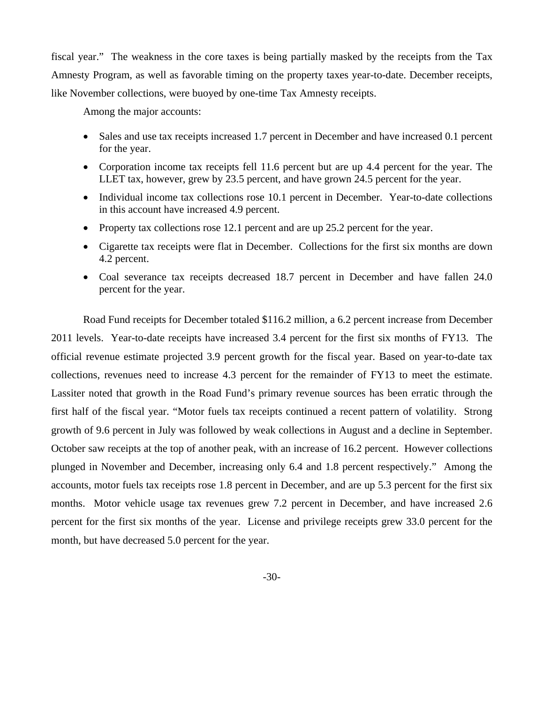fiscal year." The weakness in the core taxes is being partially masked by the receipts from the Tax Amnesty Program, as well as favorable timing on the property taxes year-to-date. December receipts, like November collections, were buoyed by one-time Tax Amnesty receipts.

Among the major accounts:

- Sales and use tax receipts increased 1.7 percent in December and have increased 0.1 percent for the year.
- Corporation income tax receipts fell 11.6 percent but are up 4.4 percent for the year. The LLET tax, however, grew by 23.5 percent, and have grown 24.5 percent for the year.
- Individual income tax collections rose 10.1 percent in December. Year-to-date collections in this account have increased 4.9 percent.
- Property tax collections rose 12.1 percent and are up 25.2 percent for the year.
- Cigarette tax receipts were flat in December. Collections for the first six months are down 4.2 percent.
- Coal severance tax receipts decreased 18.7 percent in December and have fallen 24.0 percent for the year.

Road Fund receipts for December totaled \$116.2 million, a 6.2 percent increase from December 2011 levels. Year-to-date receipts have increased 3.4 percent for the first six months of FY13. The official revenue estimate projected 3.9 percent growth for the fiscal year. Based on year-to-date tax collections, revenues need to increase 4.3 percent for the remainder of FY13 to meet the estimate. Lassiter noted that growth in the Road Fund's primary revenue sources has been erratic through the first half of the fiscal year. "Motor fuels tax receipts continued a recent pattern of volatility. Strong growth of 9.6 percent in July was followed by weak collections in August and a decline in September. October saw receipts at the top of another peak, with an increase of 16.2 percent. However collections plunged in November and December, increasing only 6.4 and 1.8 percent respectively." Among the accounts, motor fuels tax receipts rose 1.8 percent in December, and are up 5.3 percent for the first six months. Motor vehicle usage tax revenues grew 7.2 percent in December, and have increased 2.6 percent for the first six months of the year. License and privilege receipts grew 33.0 percent for the month, but have decreased 5.0 percent for the year.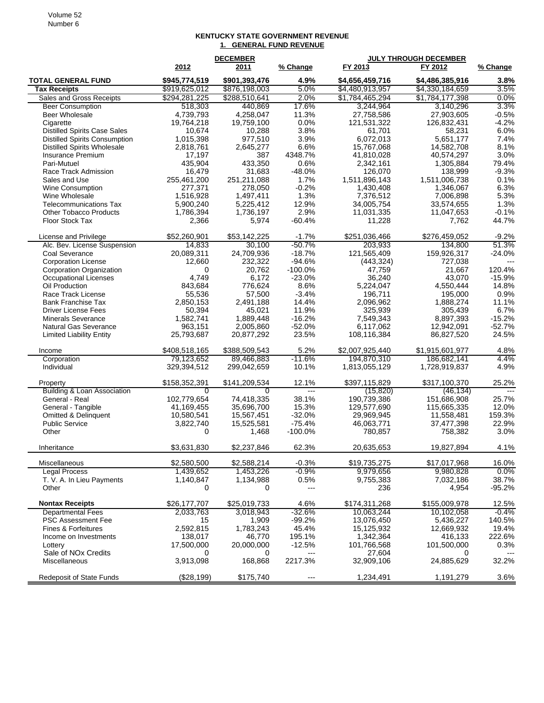## **KENTUCKY STATE GOVERNMENT REVENUE 1. GENERAL FUND REVENUE**

|                                                  | <b>DECEMBER</b>    |                        |                | <b>JULY THROUGH DECEMBER</b> |                     |                |  |
|--------------------------------------------------|--------------------|------------------------|----------------|------------------------------|---------------------|----------------|--|
|                                                  | 2012               | <u> 2011 </u>          | % Change       | FY 2013                      | FY 2012             | % Change       |  |
| <b>TOTAL GENERAL FUND</b>                        | \$945,774,519      | \$901,393,476          | 4.9%           | \$4,656,459,716              | \$4,486,385,916     | 3.8%           |  |
| <b>Tax Receipts</b>                              | \$919,625,012      | \$876,198,003          | 5.0%           | \$4,480,913,957              | \$4,330,184,659     | 3.5%           |  |
| Sales and Gross Receipts                         | \$294,281,225      | \$288,510,641          | 2.0%           | \$1,784,465,294              | \$1,784,177,398     | 0.0%           |  |
| <b>Beer Consumption</b>                          | 518,303            | 440.869                | 17.6%          | 3,244,964                    | 3,140,296           | 3.3%           |  |
| <b>Beer Wholesale</b>                            | 4,739,793          | 4,258,047              | 11.3%          | 27,758,586                   | 27,903,605          | $-0.5%$        |  |
| Cigarette                                        | 19,764,218         | 19,759,100             | 0.0%           | 121,531,322                  | 126,832,431         | $-4.2%$        |  |
| <b>Distilled Spirits Case Sales</b>              | 10,674             | 10,288                 | 3.8%           | 61,701                       | 58,231              | 6.0%           |  |
| <b>Distilled Spirits Consumption</b>             | 1,015,398          | 977,510                | 3.9%           | 6,072,013                    | 5,651,177           | 7.4%           |  |
| <b>Distilled Spirits Wholesale</b>               | 2,818,761          | 2,645,277              | 6.6%           | 15.767.068                   | 14,582,708          | 8.1%           |  |
| Insurance Premium                                | 17,197             | 387                    | 4348.7%        | 41,810,028                   | 40,574,297          | 3.0%           |  |
| Pari-Mutuel                                      | 435,904            | 433,350                | 0.6%           | 2,342,161                    | 1,305,884           | 79.4%          |  |
| Race Track Admission                             | 16,479             | 31,683                 | $-48.0%$       | 126,070                      | 138,999             | $-9.3%$        |  |
| Sales and Use                                    | 255,461,200        | 251,211,088            | 1.7%           | 1,511,896,143                | 1,511,006,738       | 0.1%           |  |
| Wine Consumption                                 | 277,371            | 278,050                | $-0.2%$        | 1,430,408                    | 1,346,067           | 6.3%           |  |
| Wine Wholesale                                   | 1,516,928          | 1,497,411              | 1.3%           | 7,376,512                    | 7,006,898           | 5.3%<br>1.3%   |  |
| <b>Telecommunications Tax</b>                    | 5,900,240          | 5,225,412<br>1,736,197 | 12.9%<br>2.9%  | 34,005,754                   | 33,574,655          | $-0.1%$        |  |
| <b>Other Tobacco Products</b><br>Floor Stock Tax | 1,786,394<br>2,366 | 5,974                  | $-60.4%$       | 11,031,335<br>11,228         | 11,047,653<br>7,762 | 44.7%          |  |
|                                                  |                    |                        |                |                              |                     |                |  |
| License and Privilege                            | \$52,260,901       | \$53,142,225           | $-1.7%$        | \$251,036,466                | \$276,459,052       | $-9.2%$        |  |
| Alc. Bev. License Suspension                     | 14,833             | 30,100                 | $-50.7%$       | 203,933                      | 134,800             | 51.3%          |  |
| Coal Severance                                   | 20,089,311         | 24,709,936             | $-18.7%$       | 121,565,409                  | 159,926,317         | $-24.0%$       |  |
| <b>Corporation License</b>                       | 12,660             | 232,322                | $-94.6%$       | (443, 324)                   | 727,038             |                |  |
| Corporation Organization                         | 0                  | 20,762                 | $-100.0\%$     | 47,759                       | 21.667              | 120.4%         |  |
| <b>Occupational Licenses</b>                     | 4,749              | 6,172                  | $-23.0%$       | 36,240                       | 43,070              | $-15.9%$       |  |
| Oil Production                                   | 843,684            | 776,624                | 8.6%           | 5,224,047                    | 4,550,444           | 14.8%          |  |
| Race Track License                               | 55,536             | 57,500                 | $-3.4%$        | 196,711                      | 195,000             | 0.9%           |  |
| <b>Bank Franchise Tax</b>                        | 2,850,153          | 2,491,188              | 14.4%          | 2,096,962                    | 1,888,274           | 11.1%          |  |
| <b>Driver License Fees</b>                       | 50,394             | 45,021                 | 11.9%          | 325,939                      | 305,439             | 6.7%           |  |
| <b>Minerals Severance</b>                        | 1,582,741          | 1,889,448              | $-16.2%$       | 7,549,343                    | 8,897,393           | $-15.2%$       |  |
| <b>Natural Gas Severance</b>                     | 963,151            | 2,005,860              | $-52.0%$       | 6,117,062                    | 12,942,091          | $-52.7%$       |  |
| <b>Limited Liability Entity</b>                  | 25,793,687         | 20,877,292             | 23.5%          | 108,116,384                  | 86,827,520          | 24.5%          |  |
| Income                                           | \$408,518,165      | \$388,509,543          | 5.2%           | \$2,007,925,440              | \$1,915,601,977     | 4.8%           |  |
| Corporation                                      | 79,123,652         | 89,466,883             | $-11.6%$       | 194,870,310                  | 186,682,141         | 4.4%           |  |
| Individual                                       | 329,394,512        | 299,042,659            | 10.1%          | 1,813,055,129                | 1,728,919,837       | 4.9%           |  |
| Property                                         | \$158,352,391      | \$141,209,534          | 12.1%          | \$397,115,829                | \$317,100,370       | 25.2%          |  |
| <b>Building &amp; Loan Association</b>           | 0                  | $\overline{0}$         | $\overline{1}$ | (15, 820)                    | (46, 134)           | $\overline{a}$ |  |
| General - Real                                   | 102,779,654        | 74,418,335             | 38.1%          | 190,739,386                  | 151,686,908         | 25.7%          |  |
| General - Tangible                               | 41,169,455         | 35,696,700             | 15.3%          | 129,577,690                  | 115,665,335         | 12.0%          |  |
| Omitted & Delinquent                             | 10,580,541         | 15,567,451             | $-32.0%$       | 29,969,945                   | 11,558,481          | 159.3%         |  |
| <b>Public Service</b>                            | 3,822,740          | 15,525,581             | $-75.4%$       | 46,063,771                   | 37,477,398          | 22.9%          |  |
| Other                                            | $\Omega$           | 1,468                  | $-100.0%$      | 780,857                      | 758,382             | 3.0%           |  |
| Inheritance                                      | \$3,631,830        | \$2,237,846            | 62.3%          | 20,635,653                   | 19,827,894          | 4.1%           |  |
| Miscellaneous                                    | \$2,580,500        | \$2,588,214            | $-0.3%$        | \$19,735,275                 | \$17,017,968        | 16.0%          |  |
| <b>Legal Process</b>                             | 1,439,652          | 1,453,226              | $-0.9%$        | 9,979,656                    | 9,980,828           | 0.0%           |  |
| T. V. A. In Lieu Payments                        | 1,140,847          | 1,134,988              | 0.5%           | 9,755,383                    | 7,032,186           | 38.7%          |  |
| Other                                            | 0                  | 0                      | $---$          | 236                          | 4,954               | $-95.2%$       |  |
| <b>Nontax Receipts</b>                           | \$26,177,707       | \$25,019,733           | 4.6%           | \$174,311,268                | \$155,009,978       | 12.5%          |  |
| <b>Departmental Fees</b>                         | 2,033,763          | 3,018,943              | $-32.6%$       | 10.063,244                   | 10,102,058          | $-0.4%$        |  |
| <b>PSC Assessment Fee</b>                        | 15                 | 1,909                  | $-99.2%$       | 13,076,450                   | 5,436,227           | 140.5%         |  |
| Fines & Forfeitures                              | 2,592,815          | 1,783,243              | 45.4%          | 15,125,932                   | 12,669,932          | 19.4%          |  |
| Income on Investments                            | 138,017            | 46,770                 | 195.1%         | 1,342,364                    | 416,133             | 222.6%         |  |
| Lottery                                          | 17,500,000         | 20,000,000             | $-12.5%$       | 101,766,568                  | 101,500,000         | 0.3%           |  |
| Sale of NO <sub>x</sub> Credits                  | 0                  | 0                      | ---            | 27,604                       | 0                   |                |  |
| Miscellaneous                                    | 3,913,098          | 168,868                | 2217.3%        | 32,909,106                   | 24,885,629          | 32.2%          |  |
| <b>Redeposit of State Funds</b>                  | (\$28,199)         | \$175,740              | $\cdots$       | 1,234,491                    | 1,191,279           | 3.6%           |  |